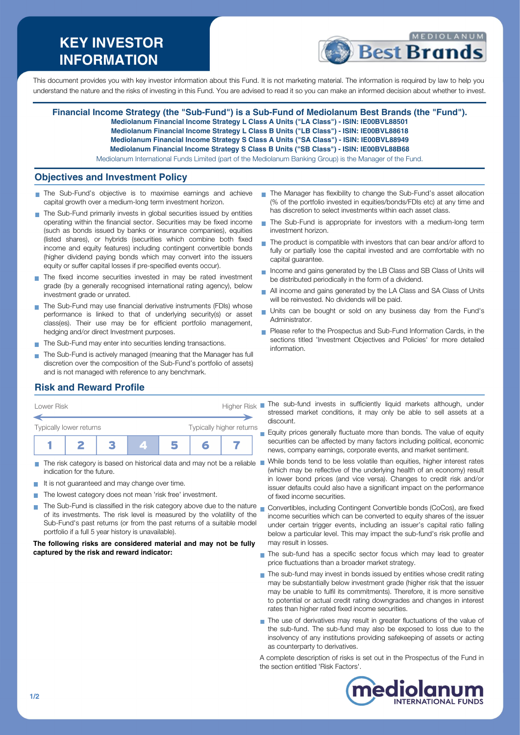# **KEY INVESTOR INFORMATION**



This document provides you with key investor information about this Fund. It is not marketing material. The information is required by law to help you understand the nature and the risks of investing in this Fund. You are advised to read it so you can make an informed decision about whether to invest.

## **Financial Income Strategy (the "Sub-Fund") is a Sub-Fund of Mediolanum Best Brands (the "Fund").**

**Mediolanum Financial Income Strategy L Class A Units ("LA Class") - ISIN: IE00BVL88501**

- **Mediolanum Financial Income Strategy L Class B Units ("LB Class") ISIN: IE00BVL88618**
- **Mediolanum Financial Income Strategy S Class A Units ("SA Class") ISIN: IE00BVL88949 Mediolanum Financial Income Strategy S Class B Units ("SB Class") - ISIN: IE00BVL88B68**

Mediolanum International Funds Limited (part of the Mediolanum Banking Group) is the Manager of the Fund.

## **Objectives and Investment Policy**

- The Sub-Fund's objective is to maximise earnings and achieve capital growth over a medium-long term investment horizon.
- The Sub-Fund primarily invests in global securities issued by entities operating within the financial sector. Securities may be fixed income (such as bonds issued by banks or insurance companies), equities (listed shares), or hybrids (securities which combine both fixed income and equity features) including contingent convertible bonds (higher dividend paying bonds which may convert into the issuers equity or suffer capital losses if pre-specified events occur).
- The fixed income securities invested in may be rated investment grade (by a generally recognised international rating agency), below investment grade or unrated.
- The Sub-Fund may use financial derivative instruments (FDIs) whose performance is linked to that of underlying security(s) or asset class(es). Their use may be for efficient portfolio management, hedging and/or direct Investment purposes.
- The Sub-Fund may enter into securities lending transactions.
- The Sub-Fund is actively managed (meaning that the Manager has full discretion over the composition of the Sub-Fund's portfolio of assets) and is not managed with reference to any benchmark.
- The Manager has flexibility to change the Sub-Fund's asset allocation (% of the portfolio invested in equities/bonds/FDIs etc) at any time and has discretion to select investments within each asset class.
- The Sub-Fund is appropriate for investors with a medium-long term investment horizon.
- $\blacksquare$  The product is compatible with investors that can bear and/or afford to fully or partially lose the capital invested and are comfortable with no capital guarantee.
- Income and gains generated by the LB Class and SB Class of Units will be distributed periodically in the form of a dividend.
- All income and gains generated by the LA Class and SA Class of Units will be reinvested. No dividends will be paid.
- Units can be bought or sold on any business day from the Fund's m, Administrator.
- **Please refer to the Prospectus and Sub-Fund Information Cards, in the** sections titled 'Investment Objectives and Policies' for more detailed information.

# **Risk and Reward Profile**

| Lower Risk              |  |  | <b>Higher Risk</b>       |  |  |  |  |
|-------------------------|--|--|--------------------------|--|--|--|--|
| Typically lower returns |  |  | Typically higher returns |  |  |  |  |
|                         |  |  | 74 N                     |  |  |  |  |

- $\blacksquare$  The risk category is based on historical data and may not be a reliable  $\blacksquare$ indication for the future.
- It is not guaranteed and may change over time.
- The lowest category does not mean 'risk free' investment.
- The Sub-Fund is classified in the risk category above due to the nature of its investments. The risk level is measured by the volatility of the Sub-Fund's past returns (or from the past returns of a suitable model portfolio if a full 5 year history is unavailable).

#### **The following risks are considered material and may not be fully captured by the risk and reward indicator:**

The sub-fund invests in sufficiently liquid markets although, under stressed market conditions, it may only be able to sell assets at a discount.

Equity prices generally fluctuate more than bonds. The value of equity securities can be affected by many factors including political, economic news, company earnings, corporate events, and market sentiment.

- While bonds tend to be less volatile than equities, higher interest rates (which may be reflective of the underlying health of an economy) result in lower bond prices (and vice versa). Changes to credit risk and/or issuer defaults could also have a significant impact on the performance of fixed income securities.
- Convertibles, including Contingent Convertible bonds (CoCos), are fixed income securities which can be converted to equity shares of the issuer under certain trigger events, including an issuer's capital ratio falling below a particular level. This may impact the sub-fund's risk profile and may result in losses.
- The sub-fund has a specific sector focus which may lead to greater ÷ price fluctuations than a broader market strategy.
- The sub-fund may invest in bonds issued by entities whose credit rating may be substantially below investment grade (higher risk that the issuer may be unable to fulfil its commitments). Therefore, it is more sensitive to potential or actual credit rating downgrades and changes in interest rates than higher rated fixed income securities.
- The use of derivatives may result in greater fluctuations of the value of the sub-fund. The sub-fund may also be exposed to loss due to the insolvency of any institutions providing safekeeping of assets or acting as counterparty to derivatives.

A complete description of risks is set out in the Prospectus of the Fund in the section entitled 'Risk Factors'.